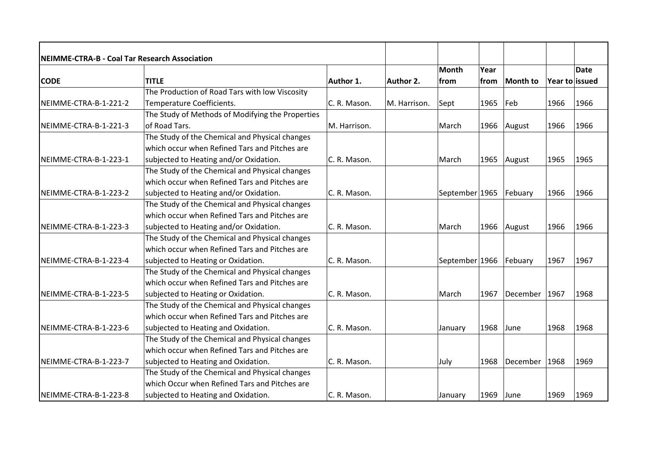| NEIMME-CTRA-B - Coal Tar Research Association |                                                  |              |              | <b>Month</b>   | Year |          |                | Date |
|-----------------------------------------------|--------------------------------------------------|--------------|--------------|----------------|------|----------|----------------|------|
| <b>CODE</b>                                   | <b>TITLE</b>                                     | Author 1.    | Author 2.    | from           | from | Month to | Year to issued |      |
|                                               | The Production of Road Tars with low Viscosity   |              |              |                |      |          |                |      |
| NEIMME-CTRA-B-1-221-2                         | <b>Temperature Coefficients.</b>                 | C. R. Mason. | M. Harrison. | Sept           | 1965 | Feb      | 1966           | 1966 |
|                                               | The Study of Methods of Modifying the Properties |              |              |                |      |          |                |      |
| NEIMME-CTRA-B-1-221-3                         | of Road Tars.                                    | M. Harrison. |              | March          | 1966 | August   | 1966           | 1966 |
|                                               | The Study of the Chemical and Physical changes   |              |              |                |      |          |                |      |
|                                               | which occur when Refined Tars and Pitches are    |              |              |                |      |          |                |      |
| NEIMME-CTRA-B-1-223-1                         | subjected to Heating and/or Oxidation.           | C. R. Mason. |              | March          | 1965 | August   | 1965           | 1965 |
|                                               | The Study of the Chemical and Physical changes   |              |              |                |      |          |                |      |
|                                               | which occur when Refined Tars and Pitches are    |              |              |                |      |          |                |      |
| NEIMME-CTRA-B-1-223-2                         | subjected to Heating and/or Oxidation.           | C. R. Mason. |              | September 1965 |      | Febuary  | 1966           | 1966 |
|                                               | The Study of the Chemical and Physical changes   |              |              |                |      |          |                |      |
|                                               | which occur when Refined Tars and Pitches are    |              |              |                |      |          |                |      |
| NEIMME-CTRA-B-1-223-3                         | subjected to Heating and/or Oxidation.           | C. R. Mason. |              | March          | 1966 | August   | 1966           | 1966 |
|                                               | The Study of the Chemical and Physical changes   |              |              |                |      |          |                |      |
|                                               | which occur when Refined Tars and Pitches are    |              |              |                |      |          |                |      |
| NEIMME-CTRA-B-1-223-4                         | subjected to Heating or Oxidation.               | C. R. Mason. |              | September 1966 |      | Febuary  | 1967           | 1967 |
|                                               | The Study of the Chemical and Physical changes   |              |              |                |      |          |                |      |
|                                               | which occur when Refined Tars and Pitches are    |              |              |                |      |          |                |      |
| NEIMME-CTRA-B-1-223-5                         | subjected to Heating or Oxidation.               | C. R. Mason. |              | March          | 1967 | December | 1967           | 1968 |
|                                               | The Study of the Chemical and Physical changes   |              |              |                |      |          |                |      |
|                                               | which occur when Refined Tars and Pitches are    |              |              |                |      |          |                |      |
| NEIMME-CTRA-B-1-223-6                         | subjected to Heating and Oxidation.              | C. R. Mason. |              | January        | 1968 | June     | 1968           | 1968 |
|                                               | The Study of the Chemical and Physical changes   |              |              |                |      |          |                |      |
|                                               | which occur when Refined Tars and Pitches are    |              |              |                |      |          |                |      |
| NEIMME-CTRA-B-1-223-7                         | subjected to Heating and Oxidation.              | C. R. Mason. |              | July           | 1968 | December | 1968           | 1969 |
|                                               | The Study of the Chemical and Physical changes   |              |              |                |      |          |                |      |
|                                               | which Occur when Refined Tars and Pitches are    |              |              |                |      |          |                |      |
| NEIMME-CTRA-B-1-223-8                         | subjected to Heating and Oxidation.              | C. R. Mason. |              | January        | 1969 | June     | 1969           | 1969 |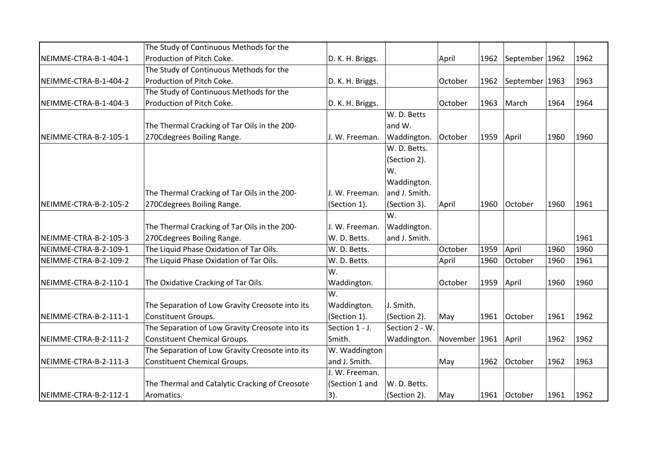|                       | The Study of Continuous Methods for the         |                  |                |               |      |                         |      |      |
|-----------------------|-------------------------------------------------|------------------|----------------|---------------|------|-------------------------|------|------|
| NEIMME-CTRA-B-1-404-1 | Production of Pitch Coke.                       | D. K. H. Briggs. |                | April         |      | 1962   September   1962 |      | 1962 |
|                       | The Study of Continuous Methods for the         |                  |                |               |      |                         |      |      |
| NEIMME-CTRA-B-1-404-2 | Production of Pitch Coke.                       | D. K. H. Briggs. |                | October       | 1962 | September   1963        |      | 1963 |
|                       | The Study of Continuous Methods for the         |                  |                |               |      |                         |      |      |
| NEIMME-CTRA-B-1-404-3 | Production of Pitch Coke.                       | D. K. H. Briggs. |                | October       | 1963 | March                   | 1964 | 1964 |
|                       |                                                 |                  | W. D. Betts    |               |      |                         |      |      |
|                       | The Thermal Cracking of Tar Oils in the 200-    |                  | and W.         |               |      |                         |      |      |
| NEIMME-CTRA-B-2-105-1 | 270Cdegrees Boiling Range.                      | J. W. Freeman.   | Waddington.    | October       | 1959 | April                   | 1960 | 1960 |
|                       |                                                 |                  | W. D. Betts.   |               |      |                         |      |      |
|                       |                                                 |                  | (Section 2).   |               |      |                         |      |      |
|                       |                                                 |                  | W.             |               |      |                         |      |      |
|                       |                                                 |                  | Waddington.    |               |      |                         |      |      |
|                       | The Thermal Cracking of Tar Oils in the 200-    | J. W. Freeman.   | and J. Smith.  |               |      |                         |      |      |
| NEIMME-CTRA-B-2-105-2 | 270Cdegrees Boiling Range.                      | (Section 1).     | (Section 3).   | April         | 1960 | October                 | 1960 | 1961 |
|                       |                                                 |                  | W.             |               |      |                         |      |      |
|                       | The Thermal Cracking of Tar Oils in the 200-    | J. W. Freeman.   | Waddington.    |               |      |                         |      |      |
| NEIMME-CTRA-B-2-105-3 | 270Cdegrees Boiling Range.                      | W. D. Betts.     | and J. Smith.  |               |      |                         |      | 1961 |
| NEIMME-CTRA-B-2-109-1 | The Liquid Phase Oxidation of Tar Oils.         | W. D. Betts.     |                | October       | 1959 | April                   | 1960 | 1960 |
| NEIMME-CTRA-B-2-109-2 | The Liquid Phase Oxidation of Tar Oils.         | W. D. Betts.     |                | April         | 1960 | October                 | 1960 | 1961 |
|                       |                                                 | W.               |                |               |      |                         |      |      |
| NEIMME-CTRA-B-2-110-1 | The Oxidative Cracking of Tar Oils.             | Waddington.      |                | October       | 1959 | April                   | 1960 | 1960 |
|                       |                                                 | W.               |                |               |      |                         |      |      |
|                       | The Separation of Low Gravity Creosote into its | Waddington.      | J. Smith.      |               |      |                         |      |      |
| NEIMME-CTRA-B-2-111-1 | Constituent Groups.                             | (Section 1).     | (Section 2).   | May           | 1961 | October                 | 1961 | 1962 |
|                       | The Separation of Low Gravity Creosote into its | Section 1 - J.   | Section 2 - W. |               |      |                         |      |      |
| NEIMME-CTRA-B-2-111-2 | <b>Constituent Chemical Groups.</b>             | Smith.           | Waddington.    | November 1961 |      | April                   | 1962 | 1962 |
|                       | The Separation of Low Gravity Creosote into its | W. Waddington    |                |               |      |                         |      |      |
| NEIMME-CTRA-B-2-111-3 | <b>Constituent Chemical Groups.</b>             | and J. Smith.    |                | May           | 1962 | October                 | 1962 | 1963 |
|                       |                                                 | J. W. Freeman.   |                |               |      |                         |      |      |
|                       | The Thermal and Catalytic Cracking of Creosote  | (Section 1 and   | W. D. Betts.   |               |      |                         |      |      |
| NEIMME-CTRA-B-2-112-1 | Aromatics.                                      | $ 3$ ).          | (Section 2).   | May           |      | 1961 October            | 1961 | 1962 |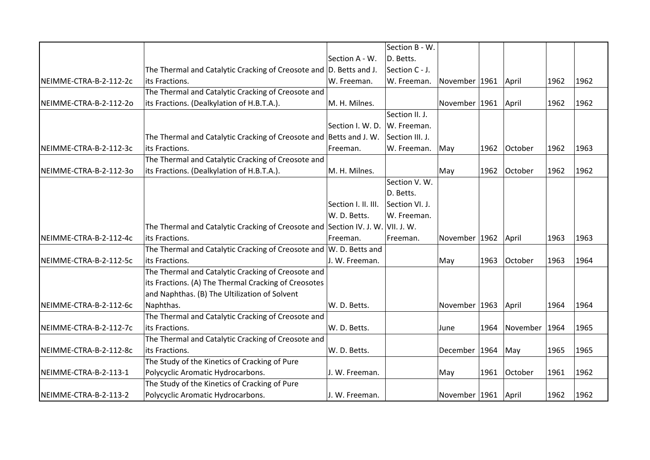|                        |                                                                                 |                     | Section B - W.  |                         |      |          |      |      |
|------------------------|---------------------------------------------------------------------------------|---------------------|-----------------|-------------------------|------|----------|------|------|
|                        |                                                                                 | Section A - W.      | D. Betts.       |                         |      |          |      |      |
|                        | The Thermal and Catalytic Cracking of Creosote and D. Betts and J.              |                     | Section C - J.  |                         |      |          |      |      |
| NEIMME-CTRA-B-2-112-2c | its Fractions.                                                                  | W. Freeman.         | W. Freeman.     | November 1961           |      | April    | 1962 | 1962 |
|                        | The Thermal and Catalytic Cracking of Creosote and                              |                     |                 |                         |      |          |      |      |
| NEIMME-CTRA-B-2-112-20 | its Fractions. (Dealkylation of H.B.T.A.).                                      | M. H. Milnes.       |                 | November 1961           |      | April    | 1962 | 1962 |
|                        |                                                                                 |                     | Section II. J.  |                         |      |          |      |      |
|                        |                                                                                 | Section I. W. D.    | W. Freeman.     |                         |      |          |      |      |
|                        | The Thermal and Catalytic Cracking of Creosote and Betts and J. W.              |                     | Section III. J. |                         |      |          |      |      |
| NEIMME-CTRA-B-2-112-3c | its Fractions.                                                                  | Freeman.            | W. Freeman.     | May                     | 1962 | October  | 1962 | 1963 |
|                        | The Thermal and Catalytic Cracking of Creosote and                              |                     |                 |                         |      |          |      |      |
| NEIMME-CTRA-B-2-112-30 | its Fractions. (Dealkylation of H.B.T.A.).                                      | M. H. Milnes.       |                 | May                     | 1962 | October  | 1962 | 1962 |
|                        |                                                                                 |                     | Section V. W.   |                         |      |          |      |      |
|                        |                                                                                 |                     | D. Betts.       |                         |      |          |      |      |
|                        |                                                                                 | Section I. II. III. | Section VI. J.  |                         |      |          |      |      |
|                        |                                                                                 | W. D. Betts.        | W. Freeman.     |                         |      |          |      |      |
|                        | The Thermal and Catalytic Cracking of Creosote and Section IV. J. W. VII. J. W. |                     |                 |                         |      |          |      |      |
| NEIMME-CTRA-B-2-112-4c | its Fractions.                                                                  | Freeman.            | Freeman.        | November 1962           |      | April    | 1963 | 1963 |
|                        | The Thermal and Catalytic Cracking of Creosote and W. D. Betts and              |                     |                 |                         |      |          |      |      |
| NEIMME-CTRA-B-2-112-5c | its Fractions.                                                                  | J. W. Freeman.      |                 | May                     | 1963 | October  | 1963 | 1964 |
|                        | The Thermal and Catalytic Cracking of Creosote and                              |                     |                 |                         |      |          |      |      |
|                        | its Fractions. (A) The Thermal Cracking of Creosotes                            |                     |                 |                         |      |          |      |      |
|                        | and Naphthas. (B) The Ultilization of Solvent                                   |                     |                 |                         |      |          |      |      |
| NEIMME-CTRA-B-2-112-6c | Naphthas.                                                                       | W. D. Betts.        |                 | November 1963           |      | April    | 1964 | 1964 |
|                        | The Thermal and Catalytic Cracking of Creosote and                              |                     |                 |                         |      |          |      |      |
| NEIMME-CTRA-B-2-112-7c | its Fractions.                                                                  | W. D. Betts.        |                 | June                    | 1964 | November | 1964 | 1965 |
|                        | The Thermal and Catalytic Cracking of Creosote and                              |                     |                 |                         |      |          |      |      |
| NEIMME-CTRA-B-2-112-8c | its Fractions.                                                                  | W. D. Betts.        |                 | December 1964           |      | May      | 1965 | 1965 |
|                        | The Study of the Kinetics of Cracking of Pure                                   |                     |                 |                         |      |          |      |      |
| NEIMME-CTRA-B-2-113-1  | Polycyclic Aromatic Hydrocarbons.                                               | J. W. Freeman.      |                 | May                     | 1961 | October  | 1961 | 1962 |
|                        | The Study of the Kinetics of Cracking of Pure                                   |                     |                 |                         |      |          |      |      |
| NEIMME-CTRA-B-2-113-2  | Polycyclic Aromatic Hydrocarbons.                                               | J. W. Freeman.      |                 | November   1961   April |      |          | 1962 | 1962 |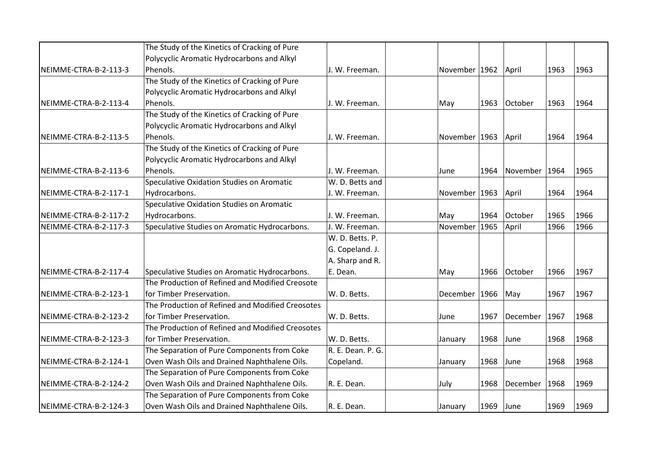|                       | The Study of the Kinetics of Cracking of Pure    |                   |                       |      |               |      |      |
|-----------------------|--------------------------------------------------|-------------------|-----------------------|------|---------------|------|------|
|                       | Polycyclic Aromatic Hydrocarbons and Alkyl       |                   |                       |      |               |      |      |
| NEIMME-CTRA-B-2-113-3 | Phenols.                                         | J. W. Freeman.    | November 1962   April |      |               | 1963 | 1963 |
|                       | The Study of the Kinetics of Cracking of Pure    |                   |                       |      |               |      |      |
|                       | Polycyclic Aromatic Hydrocarbons and Alkyl       |                   |                       |      |               |      |      |
| NEIMME-CTRA-B-2-113-4 | Phenols.                                         | J. W. Freeman.    | May                   | 1963 | October       | 1963 | 1964 |
|                       | The Study of the Kinetics of Cracking of Pure    |                   |                       |      |               |      |      |
|                       | Polycyclic Aromatic Hydrocarbons and Alkyl       |                   |                       |      |               |      |      |
| NEIMME-CTRA-B-2-113-5 | Phenols.                                         | J. W. Freeman.    | November 1963         |      | April         | 1964 | 1964 |
|                       | The Study of the Kinetics of Cracking of Pure    |                   |                       |      |               |      |      |
|                       | Polycyclic Aromatic Hydrocarbons and Alkyl       |                   |                       |      |               |      |      |
| NEIMME-CTRA-B-2-113-6 | Phenols.                                         | J. W. Freeman.    | June                  | 1964 | November 1964 |      | 1965 |
|                       | Speculative Oxidation Studies on Aromatic        | W. D. Betts and   |                       |      |               |      |      |
| NEIMME-CTRA-B-2-117-1 | Hydrocarbons.                                    | J. W. Freeman.    | November 1963         |      | April         | 1964 | 1964 |
|                       | Speculative Oxidation Studies on Aromatic        |                   |                       |      |               |      |      |
| NEIMME-CTRA-B-2-117-2 | Hydrocarbons.                                    | J. W. Freeman.    | May                   | 1964 | October       | 1965 | 1966 |
| NEIMME-CTRA-B-2-117-3 | Speculative Studies on Aromatic Hydrocarbons.    | J. W. Freeman.    | November              | 1965 | April         | 1966 | 1966 |
|                       |                                                  | W. D. Betts. P.   |                       |      |               |      |      |
|                       |                                                  | G. Copeland. J.   |                       |      |               |      |      |
|                       |                                                  | A. Sharp and R.   |                       |      |               |      |      |
| NEIMME-CTRA-B-2-117-4 | Speculative Studies on Aromatic Hydrocarbons.    | E. Dean.          | May                   | 1966 | October       | 1966 | 1967 |
|                       | The Production of Refined and Modified Creosote  |                   |                       |      |               |      |      |
| NEIMME-CTRA-B-2-123-1 | for Timber Preservation.                         | W. D. Betts.      | December              | 1966 | May           | 1967 | 1967 |
|                       | The Production of Refined and Modified Creosotes |                   |                       |      |               |      |      |
| NEIMME-CTRA-B-2-123-2 | for Timber Preservation.                         | W. D. Betts.      | June                  | 1967 | December      | 1967 | 1968 |
|                       | The Production of Refined and Modified Creosotes |                   |                       |      |               |      |      |
| NEIMME-CTRA-B-2-123-3 | for Timber Preservation.                         | W. D. Betts.      | January               | 1968 | June          | 1968 | 1968 |
|                       | The Separation of Pure Components from Coke      | R. E. Dean. P. G. |                       |      |               |      |      |
| NEIMME-CTRA-B-2-124-1 | Oven Wash Oils and Drained Naphthalene Oils.     | Copeland.         | January               | 1968 | June          | 1968 | 1968 |
|                       | The Separation of Pure Components from Coke      |                   |                       |      |               |      |      |
| NEIMME-CTRA-B-2-124-2 | Oven Wash Oils and Drained Naphthalene Oils.     | R. E. Dean.       | July                  | 1968 | December      | 1968 | 1969 |
|                       | The Separation of Pure Components from Coke      |                   |                       |      |               |      |      |
| NEIMME-CTRA-B-2-124-3 | Oven Wash Oils and Drained Naphthalene Oils.     | R. E. Dean.       | January               | 1969 | June          | 1969 | 1969 |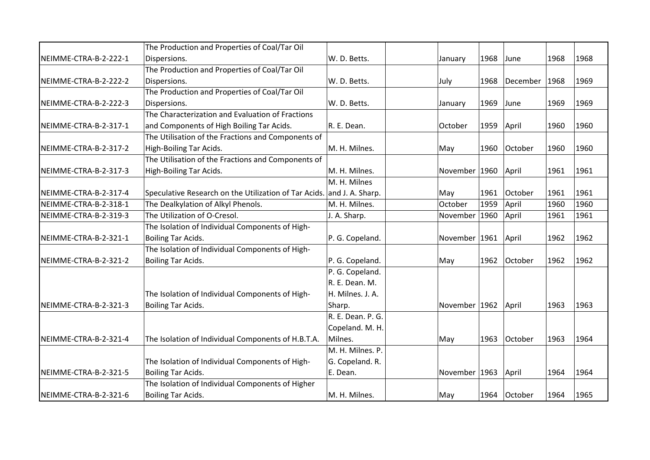|                       | The Production and Properties of Coal/Tar Oil                          |                   |               |      |              |      |      |
|-----------------------|------------------------------------------------------------------------|-------------------|---------------|------|--------------|------|------|
| NEIMME-CTRA-B-2-222-1 | Dispersions.                                                           | W. D. Betts.      | January       | 1968 | June         | 1968 | 1968 |
|                       | The Production and Properties of Coal/Tar Oil                          |                   |               |      |              |      |      |
| NEIMME-CTRA-B-2-222-2 | Dispersions.                                                           | W. D. Betts.      | July          | 1968 | December     | 1968 | 1969 |
|                       | The Production and Properties of Coal/Tar Oil                          |                   |               |      |              |      |      |
| NEIMME-CTRA-B-2-222-3 | Dispersions.                                                           | W. D. Betts.      | January       | 1969 | June         | 1969 | 1969 |
|                       | The Characterization and Evaluation of Fractions                       |                   |               |      |              |      |      |
| NEIMME-CTRA-B-2-317-1 | and Components of High Boiling Tar Acids.                              | R. E. Dean.       | October       | 1959 | April        | 1960 | 1960 |
|                       | The Utilisation of the Fractions and Components of                     |                   |               |      |              |      |      |
| NEIMME-CTRA-B-2-317-2 | <b>High-Boiling Tar Acids.</b>                                         | M. H. Milnes.     | May           | 1960 | October      | 1960 | 1960 |
|                       | The Utilisation of the Fractions and Components of                     |                   |               |      |              |      |      |
| NEIMME-CTRA-B-2-317-3 | <b>High-Boiling Tar Acids.</b>                                         | M. H. Milnes.     | November 1960 |      | April        | 1961 | 1961 |
|                       |                                                                        | M. H. Milnes      |               |      |              |      |      |
| NEIMME-CTRA-B-2-317-4 | Speculative Research on the Utilization of Tar Acids. and J. A. Sharp. |                   | May           | 1961 | October      | 1961 | 1961 |
| NEIMME-CTRA-B-2-318-1 | The Dealkylation of Alkyl Phenols.                                     | M. H. Milnes.     | October       | 1959 | April        | 1960 | 1960 |
| NEIMME-CTRA-B-2-319-3 | The Utilization of O-Cresol.                                           | J. A. Sharp.      | November      | 1960 | April        | 1961 | 1961 |
|                       | The Isolation of Individual Components of High-                        |                   |               |      |              |      |      |
| NEIMME-CTRA-B-2-321-1 | Boiling Tar Acids.                                                     | P. G. Copeland.   | November 1961 |      | April        | 1962 | 1962 |
|                       | The Isolation of Individual Components of High-                        |                   |               |      |              |      |      |
| NEIMME-CTRA-B-2-321-2 | Boiling Tar Acids.                                                     | P. G. Copeland.   | May           | 1962 | October      | 1962 | 1962 |
|                       |                                                                        | P. G. Copeland.   |               |      |              |      |      |
|                       |                                                                        | R. E. Dean. M.    |               |      |              |      |      |
|                       | The Isolation of Individual Components of High-                        | H. Milnes. J. A.  |               |      |              |      |      |
| NEIMME-CTRA-B-2-321-3 | Boiling Tar Acids.                                                     | Sharp.            | November 1962 |      | April        | 1963 | 1963 |
|                       |                                                                        | R. E. Dean. P. G. |               |      |              |      |      |
|                       |                                                                        | Copeland. M. H.   |               |      |              |      |      |
| NEIMME-CTRA-B-2-321-4 | The Isolation of Individual Components of H.B.T.A.                     | Milnes.           | May           | 1963 | October      | 1963 | 1964 |
|                       |                                                                        | M. H. Milnes. P.  |               |      |              |      |      |
|                       | The Isolation of Individual Components of High-                        | G. Copeland. R.   |               |      |              |      |      |
| NEIMME-CTRA-B-2-321-5 | Boiling Tar Acids.                                                     | E. Dean.          | November 1963 |      | April        | 1964 | 1964 |
|                       | The Isolation of Individual Components of Higher                       |                   |               |      |              |      |      |
| NEIMME-CTRA-B-2-321-6 | Boiling Tar Acids.                                                     | M. H. Milnes.     | May           |      | 1964 October | 1964 | 1965 |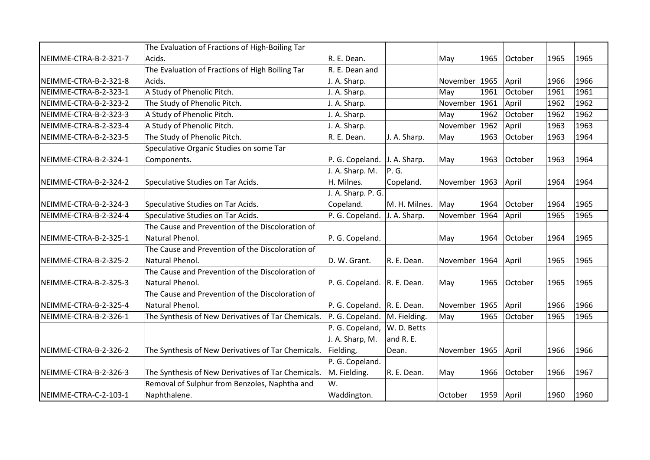|                       | The Evaluation of Fractions of High-Boiling Tar    |                              |               |                 |            |         |      |      |
|-----------------------|----------------------------------------------------|------------------------------|---------------|-----------------|------------|---------|------|------|
| NEIMME-CTRA-B-2-321-7 | Acids.                                             | R. E. Dean.                  |               | May             | 1965       | October | 1965 | 1965 |
|                       | The Evaluation of Fractions of High Boiling Tar    | R. E. Dean and               |               |                 |            |         |      |      |
| NEIMME-CTRA-B-2-321-8 | Acids.                                             | J. A. Sharp.                 |               | November 1965   |            | April   | 1966 | 1966 |
| NEIMME-CTRA-B-2-323-1 | A Study of Phenolic Pitch.                         | J. A. Sharp.                 |               | May             | 1961       | October | 1961 | 1961 |
| NEIMME-CTRA-B-2-323-2 | The Study of Phenolic Pitch.                       | J. A. Sharp.                 |               | November 1961   |            | April   | 1962 | 1962 |
| NEIMME-CTRA-B-2-323-3 | A Study of Phenolic Pitch.                         | J. A. Sharp.                 |               | May             | 1962       | October | 1962 | 1962 |
| NEIMME-CTRA-B-2-323-4 | A Study of Phenolic Pitch.                         | J. A. Sharp.                 |               | November 1962   |            | April   | 1963 | 1963 |
| NEIMME-CTRA-B-2-323-5 | The Study of Phenolic Pitch.                       | R. E. Dean.                  | J. A. Sharp.  | May             | 1963       | October | 1963 | 1964 |
|                       | Speculative Organic Studies on some Tar            |                              |               |                 |            |         |      |      |
| NEIMME-CTRA-B-2-324-1 | Components.                                        | P. G. Copeland. J. A. Sharp. |               | May             | 1963       | October | 1963 | 1964 |
|                       |                                                    | J. A. Sharp. M.              | P.G.          |                 |            |         |      |      |
| NEIMME-CTRA-B-2-324-2 | Speculative Studies on Tar Acids.                  | H. Milnes.                   | Copeland.     | November   1963 |            | April   | 1964 | 1964 |
|                       |                                                    | J. A. Sharp. P. G.           |               |                 |            |         |      |      |
| NEIMME-CTRA-B-2-324-3 | Speculative Studies on Tar Acids.                  | Copeland.                    | M. H. Milnes. | May             | 1964       | October | 1964 | 1965 |
| NEIMME-CTRA-B-2-324-4 | Speculative Studies on Tar Acids.                  | P. G. Copeland.              | J. A. Sharp.  | November 1964   |            | April   | 1965 | 1965 |
|                       | The Cause and Prevention of the Discoloration of   |                              |               |                 |            |         |      |      |
| NEIMME-CTRA-B-2-325-1 | Natural Phenol.                                    | P. G. Copeland.              |               | May             | 1964       | October | 1964 | 1965 |
|                       | The Cause and Prevention of the Discoloration of   |                              |               |                 |            |         |      |      |
| NEIMME-CTRA-B-2-325-2 | Natural Phenol.                                    | D. W. Grant.                 | R. E. Dean.   | November 1964   |            | April   | 1965 | 1965 |
|                       | The Cause and Prevention of the Discoloration of   |                              |               |                 |            |         |      |      |
| NEIMME-CTRA-B-2-325-3 | Natural Phenol.                                    | P. G. Copeland. R. E. Dean.  |               | May             | 1965       | October | 1965 | 1965 |
|                       | The Cause and Prevention of the Discoloration of   |                              |               |                 |            |         |      |      |
| NEIMME-CTRA-B-2-325-4 | Natural Phenol.                                    | P. G. Copeland. R. E. Dean.  |               | November   1965 |            | April   | 1966 | 1966 |
| NEIMME-CTRA-B-2-326-1 | The Synthesis of New Derivatives of Tar Chemicals. | P. G. Copeland.              | M. Fielding.  | May             | 1965       | October | 1965 | 1965 |
|                       |                                                    | P. G. Copeland,              | W. D. Betts   |                 |            |         |      |      |
|                       |                                                    | J. A. Sharp, M.              | and R. E.     |                 |            |         |      |      |
| NEIMME-CTRA-B-2-326-2 | The Synthesis of New Derivatives of Tar Chemicals. | Fielding,                    | Dean.         | November 1965   |            | April   | 1966 | 1966 |
|                       |                                                    | P. G. Copeland.              |               |                 |            |         |      |      |
| NEIMME-CTRA-B-2-326-3 | The Synthesis of New Derivatives of Tar Chemicals. | M. Fielding.                 | R. E. Dean.   | May             | 1966       | October | 1966 | 1967 |
|                       | Removal of Sulphur from Benzoles, Naphtha and      | W.                           |               |                 |            |         |      |      |
| NEIMME-CTRA-C-2-103-1 | Naphthalene.                                       | Waddington.                  |               | October         | 1959 April |         | 1960 | 1960 |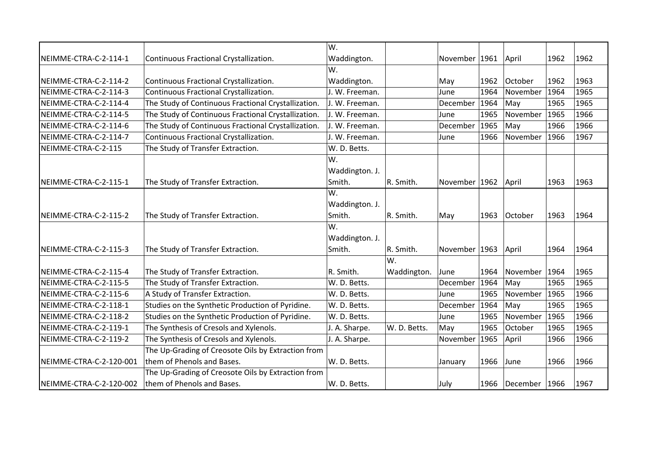|                         |                                                     | W.                |              |               |      |          |      |      |
|-------------------------|-----------------------------------------------------|-------------------|--------------|---------------|------|----------|------|------|
| NEIMME-CTRA-C-2-114-1   | Continuous Fractional Crystallization.              | Waddington.<br>W. |              | November 1961 |      | April    | 1962 | 1962 |
|                         |                                                     |                   |              |               |      |          |      |      |
| NEIMME-CTRA-C-2-114-2   | Continuous Fractional Crystallization.              | Waddington.       |              | May           | 1962 | October  | 1962 | 1963 |
| NEIMME-CTRA-C-2-114-3   | Continuous Fractional Crystallization.              | J. W. Freeman.    |              | June          | 1964 | November | 1964 | 1965 |
| NEIMME-CTRA-C-2-114-4   | The Study of Continuous Fractional Crystallization. | J. W. Freeman.    |              | December      | 1964 | May      | 1965 | 1965 |
| NEIMME-CTRA-C-2-114-5   | The Study of Continuous Fractional Crystallization. | J. W. Freeman.    |              | June          | 1965 | November | 1965 | 1966 |
| NEIMME-CTRA-C-2-114-6   | The Study of Continuous Fractional Crystallization. | J. W. Freeman.    |              | December      | 1965 | May      | 1966 | 1966 |
| NEIMME-CTRA-C-2-114-7   | Continuous Fractional Crystallization.              | J. W. Freeman.    |              | June          | 1966 | November | 1966 | 1967 |
| NEIMME-CTRA-C-2-115     | The Study of Transfer Extraction.                   | W. D. Betts.      |              |               |      |          |      |      |
|                         |                                                     | W.                |              |               |      |          |      |      |
|                         |                                                     | Waddington. J.    |              |               |      |          |      |      |
| NEIMME-CTRA-C-2-115-1   | The Study of Transfer Extraction.                   | Smith.            | R. Smith.    | November 1962 |      | April    | 1963 | 1963 |
|                         |                                                     | W.                |              |               |      |          |      |      |
|                         |                                                     | Waddington. J.    |              |               |      |          |      |      |
| NEIMME-CTRA-C-2-115-2   | The Study of Transfer Extraction.                   | Smith.            | R. Smith.    | May           | 1963 | October  | 1963 | 1964 |
|                         |                                                     | W.                |              |               |      |          |      |      |
|                         |                                                     | Waddington. J.    |              |               |      |          |      |      |
| NEIMME-CTRA-C-2-115-3   | The Study of Transfer Extraction.                   | Smith.            | R. Smith.    | November 1963 |      | April    | 1964 | 1964 |
|                         |                                                     |                   | W.           |               |      |          |      |      |
| NEIMME-CTRA-C-2-115-4   | The Study of Transfer Extraction.                   | R. Smith.         | Waddington.  | June          | 1964 | November | 1964 | 1965 |
| NEIMME-CTRA-C-2-115-5   | The Study of Transfer Extraction.                   | W. D. Betts.      |              | December      | 1964 | May      | 1965 | 1965 |
| NEIMME-CTRA-C-2-115-6   | A Study of Transfer Extraction.                     | W. D. Betts.      |              | June          | 1965 | November | 1965 | 1966 |
| NEIMME-CTRA-C-2-118-1   | Studies on the Synthetic Production of Pyridine.    | W. D. Betts.      |              | December      | 1964 | May      | 1965 | 1965 |
| NEIMME-CTRA-C-2-118-2   | Studies on the Synthetic Production of Pyridine.    | W. D. Betts.      |              | June          | 1965 | November | 1965 | 1966 |
| NEIMME-CTRA-C-2-119-1   | The Synthesis of Cresols and Xylenols.              | J. A. Sharpe.     | W. D. Betts. | May           | 1965 | October  | 1965 | 1965 |
| NEIMME-CTRA-C-2-119-2   | The Synthesis of Cresols and Xylenols.              | J. A. Sharpe.     |              | November      | 1965 | April    | 1966 | 1966 |
|                         | The Up-Grading of Creosote Oils by Extraction from  |                   |              |               |      |          |      |      |
| NEIMME-CTRA-C-2-120-001 | them of Phenols and Bases.                          | W. D. Betts.      |              | January       | 1966 | June     | 1966 | 1966 |
|                         | The Up-Grading of Creosote Oils by Extraction from  |                   |              |               |      |          |      |      |
|                         |                                                     |                   |              |               |      |          |      |      |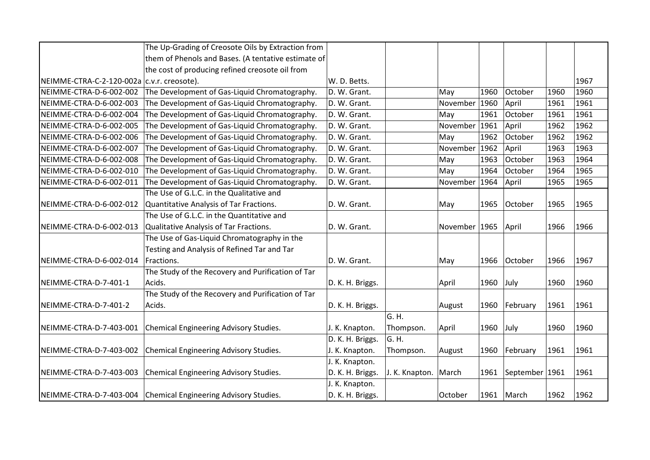|                                              | The Up-Grading of Creosote Oils by Extraction from             |                  |                        |               |      |                       |      |      |
|----------------------------------------------|----------------------------------------------------------------|------------------|------------------------|---------------|------|-----------------------|------|------|
|                                              | them of Phenols and Bases. (A tentative estimate of            |                  |                        |               |      |                       |      |      |
|                                              | the cost of producing refined creosote oil from                |                  |                        |               |      |                       |      |      |
| NEIMME-CTRA-C-2-120-002a   c.v.r. creosote). |                                                                | W. D. Betts.     |                        |               |      |                       |      | 1967 |
| NEIMME-CTRA-D-6-002-002                      | The Development of Gas-Liquid Chromatography.                  | D. W. Grant.     |                        | May           | 1960 | October               | 1960 | 1960 |
| NEIMME-CTRA-D-6-002-003                      | The Development of Gas-Liquid Chromatography.                  | D. W. Grant.     |                        | November 1960 |      | April                 | 1961 | 1961 |
| NEIMME-CTRA-D-6-002-004                      | The Development of Gas-Liquid Chromatography.                  | D. W. Grant.     |                        | May           | 1961 | October               | 1961 | 1961 |
| NEIMME-CTRA-D-6-002-005                      | The Development of Gas-Liquid Chromatography.                  | D. W. Grant.     |                        | November 1961 |      | April                 | 1962 | 1962 |
| NEIMME-CTRA-D-6-002-006                      | The Development of Gas-Liquid Chromatography.                  | D. W. Grant.     |                        | May           | 1962 | October               | 1962 | 1962 |
| NEIMME-CTRA-D-6-002-007                      | The Development of Gas-Liquid Chromatography.                  | D. W. Grant.     |                        | November 1962 |      | April                 | 1963 | 1963 |
| NEIMME-CTRA-D-6-002-008                      | The Development of Gas-Liquid Chromatography.                  | D. W. Grant.     |                        | May           | 1963 | October               | 1963 | 1964 |
| NEIMME-CTRA-D-6-002-010                      | The Development of Gas-Liquid Chromatography.                  | D. W. Grant.     |                        | May           | 1964 | October               | 1964 | 1965 |
| NEIMME-CTRA-D-6-002-011                      | The Development of Gas-Liquid Chromatography.                  | D. W. Grant.     |                        | November 1964 |      | April                 | 1965 | 1965 |
|                                              | The Use of G.L.C. in the Qualitative and                       |                  |                        |               |      |                       |      |      |
| NEIMME-CTRA-D-6-002-012                      | Quantitative Analysis of Tar Fractions.                        | D. W. Grant.     |                        | May           | 1965 | October               | 1965 | 1965 |
|                                              | The Use of G.L.C. in the Quantitative and                      |                  |                        |               |      |                       |      |      |
| NEIMME-CTRA-D-6-002-013                      | Qualitative Analysis of Tar Fractions.                         | D. W. Grant.     |                        | November 1965 |      | April                 | 1966 | 1966 |
|                                              | The Use of Gas-Liquid Chromatography in the                    |                  |                        |               |      |                       |      |      |
|                                              | Testing and Analysis of Refined Tar and Tar                    |                  |                        |               |      |                       |      |      |
| NEIMME-CTRA-D-6-002-014                      | Fractions.                                                     | D. W. Grant.     |                        | May           | 1966 | October               | 1966 | 1967 |
|                                              | The Study of the Recovery and Purification of Tar              |                  |                        |               |      |                       |      |      |
| NEIMME-CTRA-D-7-401-1                        | Acids.                                                         | D. K. H. Briggs. |                        | April         | 1960 | July                  | 1960 | 1960 |
|                                              | The Study of the Recovery and Purification of Tar              |                  |                        |               |      |                       |      |      |
| NEIMME-CTRA-D-7-401-2                        | Acids.                                                         | D. K. H. Briggs. |                        | August        | 1960 | February              | 1961 | 1961 |
|                                              |                                                                |                  | G. H.                  |               |      |                       |      |      |
| NEIMME-CTRA-D-7-403-001                      | Chemical Engineering Advisory Studies.                         | J. K. Knapton.   | Thompson.              | April         | 1960 | July                  | 1960 | 1960 |
|                                              |                                                                | D. K. H. Briggs. | G. H.                  |               |      |                       |      |      |
| NEIMME-CTRA-D-7-403-002                      | Chemical Engineering Advisory Studies.                         | J. K. Knapton.   | Thompson.              | August        | 1960 | February              | 1961 | 1961 |
|                                              |                                                                | J. K. Knapton.   |                        |               |      |                       |      |      |
| NEIMME-CTRA-D-7-403-003                      | Chemical Engineering Advisory Studies.                         | D. K. H. Briggs. | J. K. Knapton.   March |               |      | 1961   September 1961 |      | 1961 |
|                                              |                                                                | J. K. Knapton.   |                        |               |      |                       |      |      |
|                                              | NEIMME-CTRA-D-7-403-004 Chemical Engineering Advisory Studies. | D. K. H. Briggs. |                        | October       |      | $1961$ March          | 1962 | 1962 |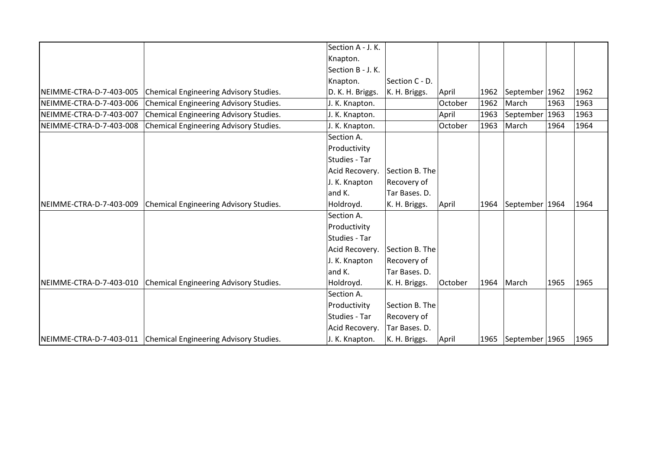|                         |                                                                | Section A - J. K. |                |         |      |                         |      |      |
|-------------------------|----------------------------------------------------------------|-------------------|----------------|---------|------|-------------------------|------|------|
|                         |                                                                | Knapton.          |                |         |      |                         |      |      |
|                         |                                                                | Section B - J. K. |                |         |      |                         |      |      |
|                         |                                                                | Knapton.          | Section C - D. |         |      |                         |      |      |
| NEIMME-CTRA-D-7-403-005 | Chemical Engineering Advisory Studies.                         | D. K. H. Briggs.  | K. H. Briggs.  | April   | 1962 | September   1962        |      | 1962 |
| NEIMME-CTRA-D-7-403-006 | <b>Chemical Engineering Advisory Studies.</b>                  | J. K. Knapton.    |                | October | 1962 | March                   | 1963 | 1963 |
| NEIMME-CTRA-D-7-403-007 | Chemical Engineering Advisory Studies.                         | J. K. Knapton.    |                | April   | 1963 | September               | 1963 | 1963 |
| NEIMME-CTRA-D-7-403-008 | Chemical Engineering Advisory Studies.                         | J. K. Knapton.    |                | October | 1963 | March                   | 1964 | 1964 |
|                         |                                                                | Section A.        |                |         |      |                         |      |      |
|                         |                                                                | Productivity      |                |         |      |                         |      |      |
|                         |                                                                | Studies - Tar     |                |         |      |                         |      |      |
|                         |                                                                | Acid Recovery.    | Section B. The |         |      |                         |      |      |
|                         |                                                                | J. K. Knapton     | Recovery of    |         |      |                         |      |      |
|                         |                                                                | and K.            | Tar Bases. D.  |         |      |                         |      |      |
| NEIMME-CTRA-D-7-403-009 | Chemical Engineering Advisory Studies.                         | Holdroyd.         | K. H. Briggs.  | April   | 1964 | September 1964          |      | 1964 |
|                         |                                                                | Section A.        |                |         |      |                         |      |      |
|                         |                                                                | Productivity      |                |         |      |                         |      |      |
|                         |                                                                | Studies - Tar     |                |         |      |                         |      |      |
|                         |                                                                | Acid Recovery.    | Section B. The |         |      |                         |      |      |
|                         |                                                                | J. K. Knapton     | Recovery of    |         |      |                         |      |      |
|                         |                                                                | and K.            | Tar Bases. D.  |         |      |                         |      |      |
| NEIMME-CTRA-D-7-403-010 | Chemical Engineering Advisory Studies.                         | Holdroyd.         | K. H. Briggs.  | October | 1964 | March                   | 1965 | 1965 |
|                         |                                                                | Section A.        |                |         |      |                         |      |      |
|                         |                                                                | Productivity      | Section B. The |         |      |                         |      |      |
|                         |                                                                | Studies - Tar     | Recovery of    |         |      |                         |      |      |
|                         |                                                                | Acid Recovery.    | Tar Bases. D.  |         |      |                         |      |      |
|                         | NEIMME-CTRA-D-7-403-011 Chemical Engineering Advisory Studies. | J. K. Knapton.    | K. H. Briggs.  | April   |      | 1965   September   1965 |      | 1965 |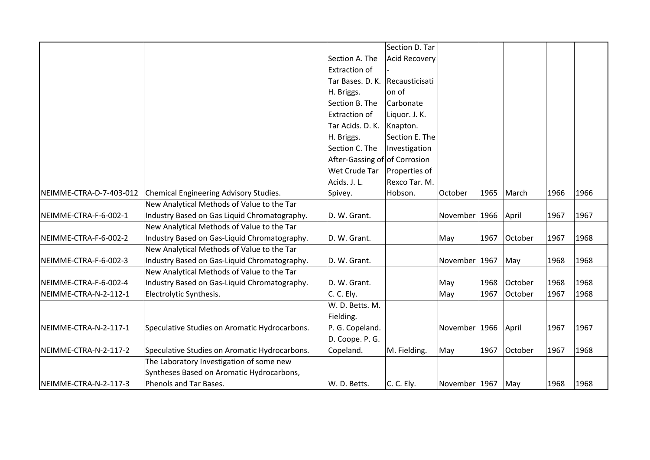|                         |                                               |                                 | Section D. Tar    |               |      |             |      |      |
|-------------------------|-----------------------------------------------|---------------------------------|-------------------|---------------|------|-------------|------|------|
|                         |                                               | Section A. The                  | Acid Recovery     |               |      |             |      |      |
|                         |                                               | <b>Extraction of</b>            |                   |               |      |             |      |      |
|                         |                                               | Tar Bases. D. K. Recausticisati |                   |               |      |             |      |      |
|                         |                                               | H. Briggs.                      | $\mathsf{lon}$ of |               |      |             |      |      |
|                         |                                               | Section B. The                  | Carbonate         |               |      |             |      |      |
|                         |                                               | Extraction of                   | Liquor. J. K.     |               |      |             |      |      |
|                         |                                               | Tar Acids. D. K.                | Knapton.          |               |      |             |      |      |
|                         |                                               | H. Briggs.                      | Section E. The    |               |      |             |      |      |
|                         |                                               | Section C. The                  | Investigation     |               |      |             |      |      |
|                         |                                               | After-Gassing of of Corrosion   |                   |               |      |             |      |      |
|                         |                                               | Wet Crude Tar                   | Properties of     |               |      |             |      |      |
|                         |                                               | Acids. J. L.                    | Rexco Tar. M.     |               |      |             |      |      |
| NEIMME-CTRA-D-7-403-012 | Chemical Engineering Advisory Studies.        | Spivey.                         | Hobson.           | October       | 1965 | March       | 1966 | 1966 |
|                         | New Analytical Methods of Value to the Tar    |                                 |                   |               |      |             |      |      |
| NEIMME-CTRA-F-6-002-1   | Industry Based on Gas Liquid Chromatography.  | D. W. Grant.                    |                   | November 1966 |      | April       | 1967 | 1967 |
|                         | New Analytical Methods of Value to the Tar    |                                 |                   |               |      |             |      |      |
| NEIMME-CTRA-F-6-002-2   | Industry Based on Gas-Liquid Chromatography.  | D. W. Grant.                    |                   | May           | 1967 | October     | 1967 | 1968 |
|                         | New Analytical Methods of Value to the Tar    |                                 |                   |               |      |             |      |      |
| NEIMME-CTRA-F-6-002-3   | Industry Based on Gas-Liquid Chromatography.  | D. W. Grant.                    |                   | November 1967 |      | May         | 1968 | 1968 |
|                         | New Analytical Methods of Value to the Tar    |                                 |                   |               |      |             |      |      |
| NEIMME-CTRA-F-6-002-4   | Industry Based on Gas-Liquid Chromatography.  | D. W. Grant.                    |                   | May           | 1968 | October     | 1968 | 1968 |
| NEIMME-CTRA-N-2-112-1   | Electrolytic Synthesis.                       | C. C. Ely.                      |                   | May           | 1967 | October     | 1967 | 1968 |
|                         |                                               | W. D. Betts. M.                 |                   |               |      |             |      |      |
|                         |                                               | Fielding.                       |                   |               |      |             |      |      |
| NEIMME-CTRA-N-2-117-1   | Speculative Studies on Aromatic Hydrocarbons. | P. G. Copeland.                 |                   | November 1966 |      | April       | 1967 | 1967 |
|                         |                                               | D. Coope. P. G.                 |                   |               |      |             |      |      |
| NEIMME-CTRA-N-2-117-2   | Speculative Studies on Aromatic Hydrocarbons. | Copeland.                       | M. Fielding.      | May           | 1967 | October     | 1967 | 1968 |
|                         | The Laboratory Investigation of some new      |                                 |                   |               |      |             |      |      |
|                         | Syntheses Based on Aromatic Hydrocarbons,     |                                 |                   |               |      |             |      |      |
| NEIMME-CTRA-N-2-117-3   | Phenols and Tar Bases.                        | W. D. Betts.                    | C. C. Ely.        | November 1967 |      | $\vert$ May | 1968 | 1968 |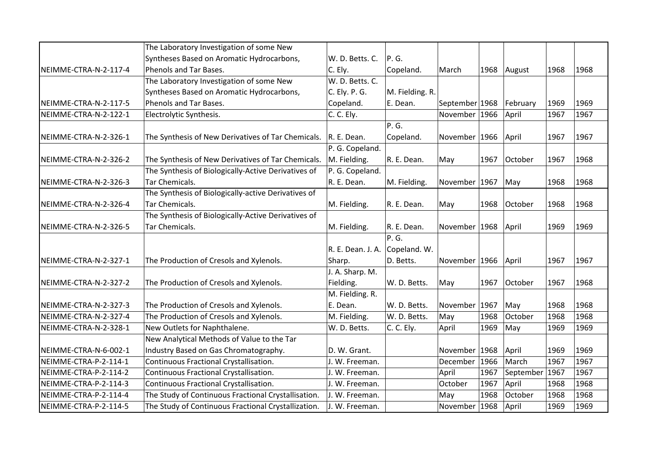|                       | The Laboratory Investigation of some New            |                   |                 |                |      |             |      |      |
|-----------------------|-----------------------------------------------------|-------------------|-----------------|----------------|------|-------------|------|------|
|                       | Syntheses Based on Aromatic Hydrocarbons,           | W. D. Betts. C.   | P.G.            |                |      |             |      |      |
| NEIMME-CTRA-N-2-117-4 | Phenols and Tar Bases.                              | C. Ely.           | Copeland.       | March          |      | 1968 August | 1968 | 1968 |
|                       | The Laboratory Investigation of some New            | W. D. Betts. C.   |                 |                |      |             |      |      |
|                       | Syntheses Based on Aromatic Hydrocarbons,           | C. Ely. P. G.     | M. Fielding. R. |                |      |             |      |      |
| NEIMME-CTRA-N-2-117-5 | Phenols and Tar Bases.                              | Copeland.         | E. Dean.        | September 1968 |      | February    | 1969 | 1969 |
| NEIMME-CTRA-N-2-122-1 | Electrolytic Synthesis.                             | C. C. Ely.        |                 | November 1966  |      | April       | 1967 | 1967 |
|                       |                                                     |                   | P. G.           |                |      |             |      |      |
| NEIMME-CTRA-N-2-326-1 | The Synthesis of New Derivatives of Tar Chemicals.  | R. E. Dean.       | Copeland.       | November 1966  |      | April       | 1967 | 1967 |
|                       |                                                     | P. G. Copeland.   |                 |                |      |             |      |      |
| NEIMME-CTRA-N-2-326-2 | The Synthesis of New Derivatives of Tar Chemicals.  | M. Fielding.      | R. E. Dean.     | May            | 1967 | October     | 1967 | 1968 |
|                       | The Synthesis of Biologically-Active Derivatives of | P. G. Copeland.   |                 |                |      |             |      |      |
| NEIMME-CTRA-N-2-326-3 | <b>Tar Chemicals.</b>                               | R. E. Dean.       | M. Fielding.    | November 1967  |      | May         | 1968 | 1968 |
|                       | The Synthesis of Biologically-active Derivatives of |                   |                 |                |      |             |      |      |
| NEIMME-CTRA-N-2-326-4 | Tar Chemicals.                                      | M. Fielding.      | R. E. Dean.     | May            | 1968 | October     | 1968 | 1968 |
|                       | The Synthesis of Biologically-Active Derivatives of |                   |                 |                |      |             |      |      |
| NEIMME-CTRA-N-2-326-5 | Tar Chemicals.                                      | M. Fielding.      | R. E. Dean.     | November 1968  |      | April       | 1969 | 1969 |
|                       |                                                     |                   | P.G.            |                |      |             |      |      |
|                       |                                                     | R. E. Dean. J. A. | Copeland. W.    |                |      |             |      |      |
| NEIMME-CTRA-N-2-327-1 | The Production of Cresols and Xylenols.             | Sharp.            | D. Betts.       | November 1966  |      | April       | 1967 | 1967 |
|                       |                                                     | J. A. Sharp. M.   |                 |                |      |             |      |      |
| NEIMME-CTRA-N-2-327-2 | The Production of Cresols and Xylenols.             | Fielding.         | W. D. Betts.    | May            | 1967 | October     | 1967 | 1968 |
|                       |                                                     | M. Fielding. R.   |                 |                |      |             |      |      |
| NEIMME-CTRA-N-2-327-3 | The Production of Cresols and Xylenols.             | E. Dean.          | W. D. Betts.    | November 1967  |      | May         | 1968 | 1968 |
| NEIMME-CTRA-N-2-327-4 | The Production of Cresols and Xylenols.             | M. Fielding.      | W. D. Betts.    | May            | 1968 | October     | 1968 | 1968 |
| NEIMME-CTRA-N-2-328-1 | New Outlets for Naphthalene.                        | W. D. Betts.      | C. C. Ely.      | April          | 1969 | May         | 1969 | 1969 |
|                       | New Analytical Methods of Value to the Tar          |                   |                 |                |      |             |      |      |
| NEIMME-CTRA-N-6-002-1 | Industry Based on Gas Chromatography.               | D. W. Grant.      |                 | November 1968  |      | April       | 1969 | 1969 |
| NEIMME-CTRA-P-2-114-1 | Continuous Fractional Crystallisation.              | J. W. Freeman.    |                 | December       | 1966 | March       | 1967 | 1967 |
| NEIMME-CTRA-P-2-114-2 | Continuous Fractional Crystallisation.              | J. W. Freeman.    |                 | April          | 1967 | September   | 1967 | 1967 |
| NEIMME-CTRA-P-2-114-3 | Continuous Fractional Crystallisation.              | J. W. Freeman.    |                 | October        | 1967 | April       | 1968 | 1968 |
| NEIMME-CTRA-P-2-114-4 | The Study of Continuous Fractional Crystallisation. | J. W. Freeman.    |                 | May            | 1968 | October     | 1968 | 1968 |
| NEIMME-CTRA-P-2-114-5 | The Study of Continuous Fractional Crystallization. | J. W. Freeman.    |                 | November 1968  |      | April       | 1969 | 1969 |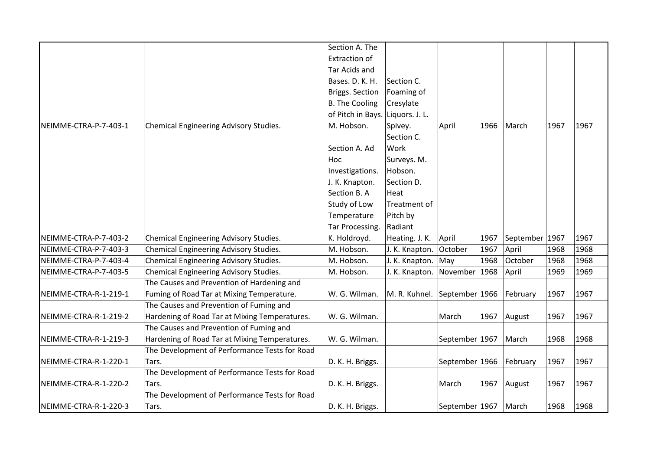|                       |                                               | Section A. The        |                              |                |      |                |      |      |
|-----------------------|-----------------------------------------------|-----------------------|------------------------------|----------------|------|----------------|------|------|
|                       |                                               | <b>Extraction of</b>  |                              |                |      |                |      |      |
|                       |                                               | Tar Acids and         |                              |                |      |                |      |      |
|                       |                                               | Bases. D. K. H.       | Section C.                   |                |      |                |      |      |
|                       |                                               | Briggs. Section       | Foaming of                   |                |      |                |      |      |
|                       |                                               | <b>B.</b> The Cooling | Cresylate                    |                |      |                |      |      |
|                       |                                               | of Pitch in Bays.     | Liquors. J. L.               |                |      |                |      |      |
| NEIMME-CTRA-P-7-403-1 | <b>Chemical Engineering Advisory Studies.</b> | M. Hobson.            | Spivey.                      | April          | 1966 | March          | 1967 | 1967 |
|                       |                                               |                       | Section C.                   |                |      |                |      |      |
|                       |                                               | Section A. Ad         | Work                         |                |      |                |      |      |
|                       |                                               | Hoc.                  | Surveys. M.                  |                |      |                |      |      |
|                       |                                               | Investigations.       | Hobson.                      |                |      |                |      |      |
|                       |                                               | J. K. Knapton.        | Section D.                   |                |      |                |      |      |
|                       |                                               | Section B. A          | Heat                         |                |      |                |      |      |
|                       |                                               | Study of Low          | Treatment of                 |                |      |                |      |      |
|                       |                                               | Temperature           | Pitch by                     |                |      |                |      |      |
|                       |                                               | Tar Processing.       | Radiant                      |                |      |                |      |      |
| NEIMME-CTRA-P-7-403-2 | <b>Chemical Engineering Advisory Studies.</b> | K. Holdroyd.          | Heating. J. K.               | April          | 1967 | September 1967 |      | 1967 |
| NEIMME-CTRA-P-7-403-3 | Chemical Engineering Advisory Studies.        | M. Hobson.            | J. K. Knapton.               | October        | 1967 | April          | 1968 | 1968 |
| NEIMME-CTRA-P-7-403-4 | Chemical Engineering Advisory Studies.        | M. Hobson.            | J. K. Knapton. May           |                | 1968 | October        | 1968 | 1968 |
| NEIMME-CTRA-P-7-403-5 | Chemical Engineering Advisory Studies.        | M. Hobson.            | J. K. Knapton.               | November       | 1968 | April          | 1969 | 1969 |
|                       | The Causes and Prevention of Hardening and    |                       |                              |                |      |                |      |      |
| NEIMME-CTRA-R-1-219-1 | Fuming of Road Tar at Mixing Temperature.     | W. G. Wilman.         | M. R. Kuhnel. September 1966 |                |      | February       | 1967 | 1967 |
|                       | The Causes and Prevention of Fuming and       |                       |                              |                |      |                |      |      |
| NEIMME-CTRA-R-1-219-2 | Hardening of Road Tar at Mixing Temperatures. | W. G. Wilman.         |                              | March          | 1967 | August         | 1967 | 1967 |
|                       | The Causes and Prevention of Fuming and       |                       |                              |                |      |                |      |      |
| NEIMME-CTRA-R-1-219-3 | Hardening of Road Tar at Mixing Temperatures. | W. G. Wilman.         |                              | September 1967 |      | March          | 1968 | 1968 |
|                       | The Development of Performance Tests for Road |                       |                              |                |      |                |      |      |
| NEIMME-CTRA-R-1-220-1 | Tars.                                         | D. K. H. Briggs.      |                              | September 1966 |      | February       | 1967 | 1967 |
|                       | The Development of Performance Tests for Road |                       |                              |                |      |                |      |      |
| NEIMME-CTRA-R-1-220-2 | Tars.                                         | D. K. H. Briggs.      |                              | March          | 1967 | August         | 1967 | 1967 |
|                       | The Development of Performance Tests for Road |                       |                              |                |      |                |      |      |
| NEIMME-CTRA-R-1-220-3 | Tars.                                         | D. K. H. Briggs.      |                              | September 1967 |      | March          | 1968 | 1968 |